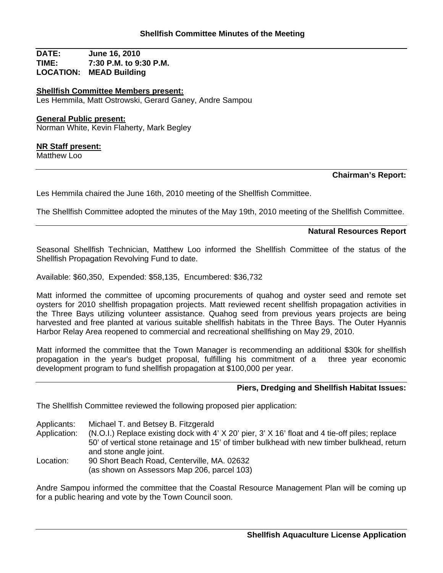**DATE: June 16, 2010 TIME: 7:30 P.M. to 9:30 P.M. LOCATION: MEAD Building**

**Shellfish Committee Members present:** Les Hemmila, Matt Ostrowski, Gerard Ganey, Andre Sampou

### **General Public present:**

Norman White, Kevin Flaherty, Mark Begley

#### **NR Staff present:**

Matthew Loo

# **Chairman's Report:**

Les Hemmila chaired the June 16th, 2010 meeting of the Shellfish Committee.

The Shellfish Committee adopted the minutes of the May 19th, 2010 meeting of the Shellfish Committee.

## **Natural Resources Report**

Seasonal Shellfish Technician, Matthew Loo informed the Shellfish Committee of the status of the Shellfish Propagation Revolving Fund to date.

Available: \$60,350, Expended: \$58,135, Encumbered: \$36,732

Matt informed the committee of upcoming procurements of quahog and oyster seed and remote set oysters for 2010 shellfish propagation projects. Matt reviewed recent shellfish propagation activities in the Three Bays utilizing volunteer assistance. Quahog seed from previous years projects are being harvested and free planted at various suitable shellfish habitats in the Three Bays. The Outer Hyannis Harbor Relay Area reopened to commercial and recreational shellfishing on May 29, 2010.

Matt informed the committee that the Town Manager is recommending an additional \$30k for shellfish propagation in the year's budget proposal, fulfilling his commitment of a three year economic development program to fund shellfish propagation at \$100,000 per year.

## **Piers, Dredging and Shellfish Habitat Issues:**

The Shellfish Committee reviewed the following proposed pier application:

Applicants: Michael T. and Betsey B. Fitzgerald

Application: (N.O.I.) Replace existing dock with 4' X 20' pier, 3' X 16' float and 4 tie-off piles; replace 50' of vertical stone retainage and 15' of timber bulkhead with new timber bulkhead, return and stone angle joint.

Location: 90 Short Beach Road, Centerville, MA. 02632 (as shown on Assessors Map 206, parcel 103)

Andre Sampou informed the committee that the Coastal Resource Management Plan will be coming up for a public hearing and vote by the Town Council soon.